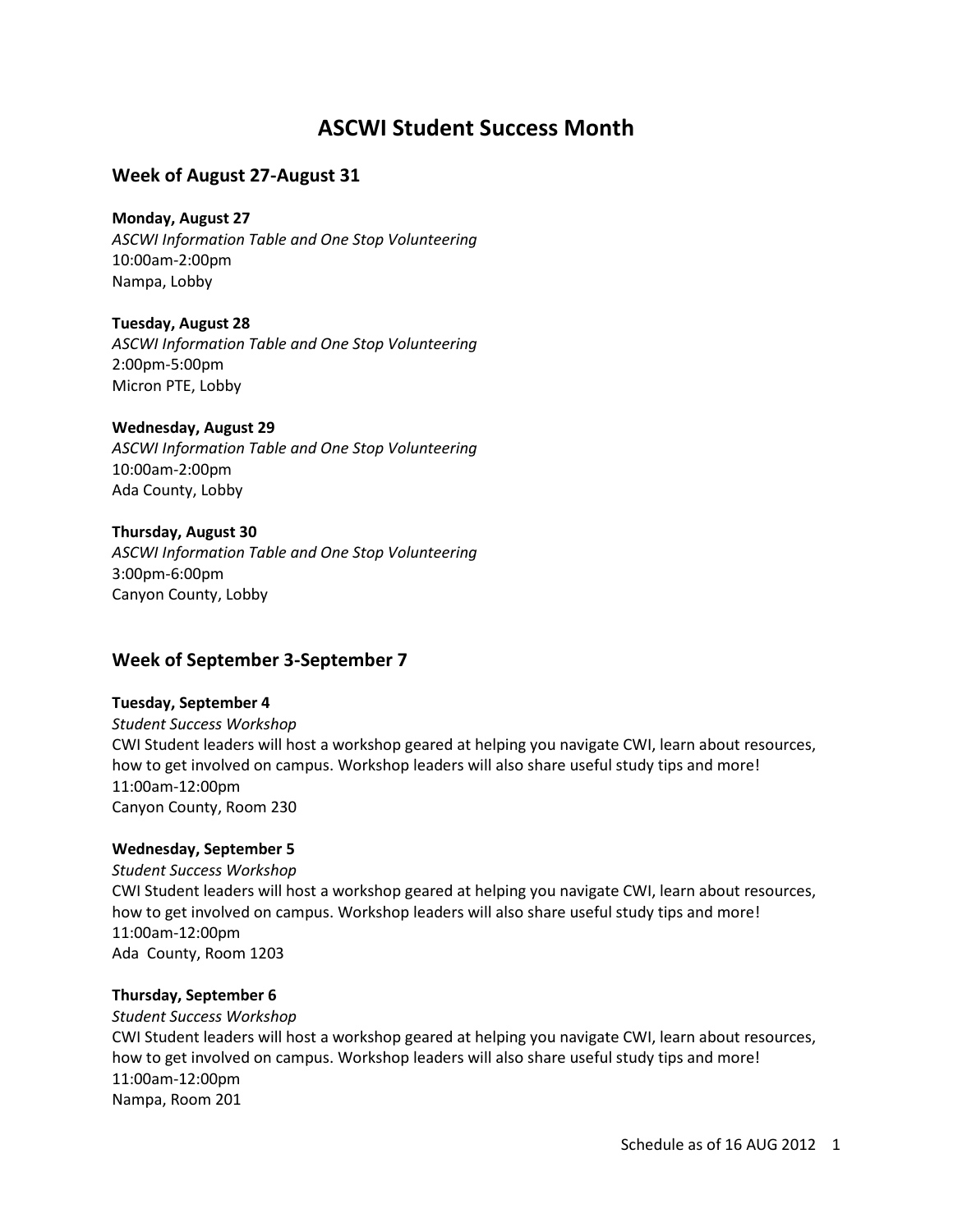# **ASCWI Student Success Month**

# **Week of August 27-August 31**

**Monday, August 27** *ASCWI Information Table and One Stop Volunteering* 10:00am-2:00pm

**Tuesday, August 28** *ASCWI Information Table and One Stop Volunteering* 2:00pm-5:00pm Micron PTE, Lobby

**Wednesday, August 29**

*ASCWI Information Table and One Stop Volunteering* 10:00am-2:00pm Ada County, Lobby

## **Thursday, August 30**

Nampa, Lobby

*ASCWI Information Table and One Stop Volunteering* 3:00pm-6:00pm Canyon County, Lobby

# **Week of September 3-September 7**

#### **Tuesday, September 4**

*Student Success Workshop* CWI Student leaders will host a workshop geared at helping you navigate CWI, learn about resources, how to get involved on campus. Workshop leaders will also share useful study tips and more! 11:00am-12:00pm Canyon County, Room 230

## **Wednesday, September 5**

*Student Success Workshop* CWI Student leaders will host a workshop geared at helping you navigate CWI, learn about resources, how to get involved on campus. Workshop leaders will also share useful study tips and more! 11:00am-12:00pm Ada County, Room 1203

#### **Thursday, September 6**

*Student Success Workshop* CWI Student leaders will host a workshop geared at helping you navigate CWI, learn about resources, how to get involved on campus. Workshop leaders will also share useful study tips and more! 11:00am-12:00pm Nampa, Room 201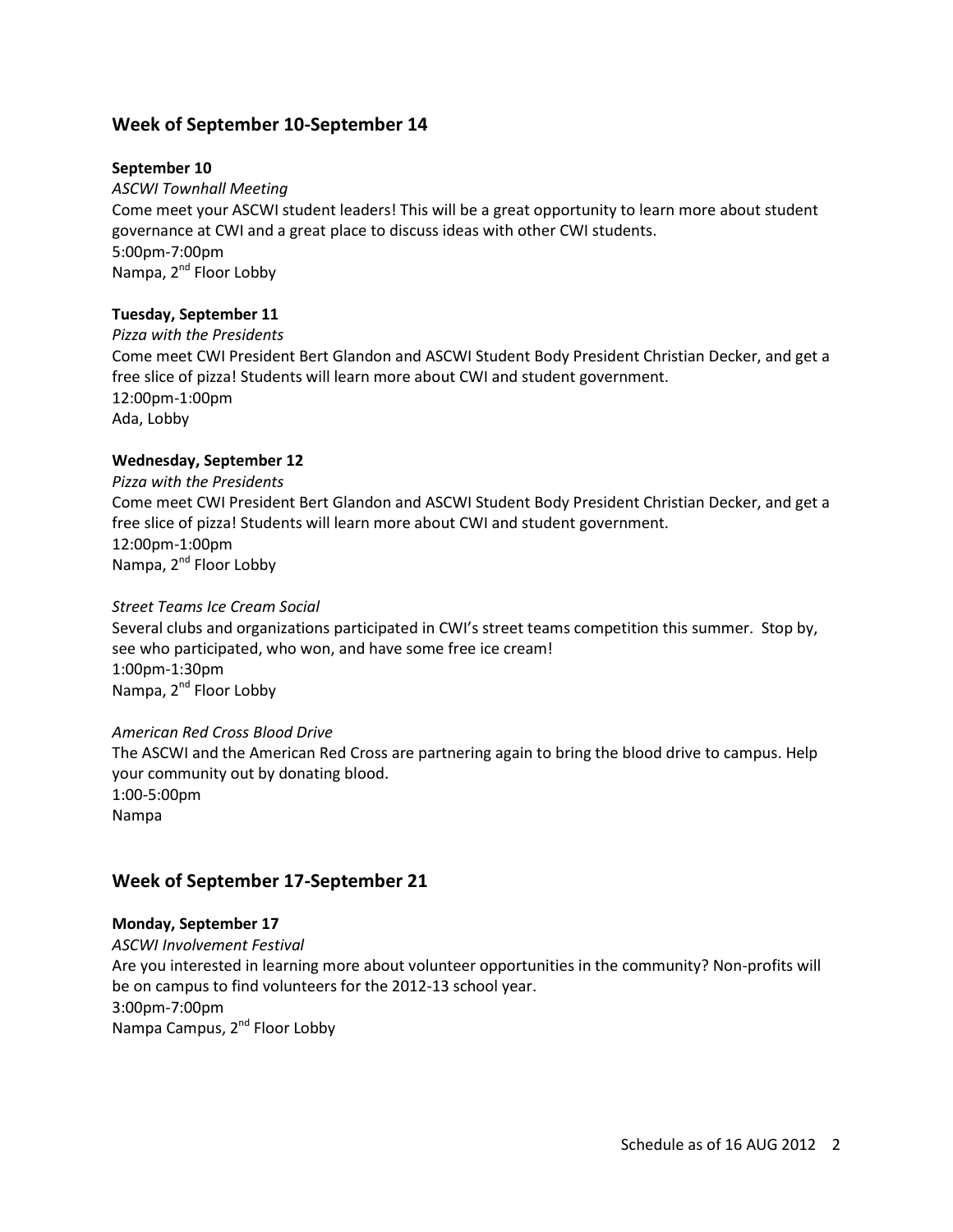# **Week of September 10-September 14**

## **September 10**

#### *ASCWI Townhall Meeting*

Come meet your ASCWI student leaders! This will be a great opportunity to learn more about student governance at CWI and a great place to discuss ideas with other CWI students. 5:00pm-7:00pm Nampa, 2<sup>nd</sup> Floor Lobby

#### **Tuesday, September 11**

*Pizza with the Presidents* Come meet CWI President Bert Glandon and ASCWI Student Body President Christian Decker, and get a free slice of pizza! Students will learn more about CWI and student government. 12:00pm-1:00pm Ada, Lobby

#### **Wednesday, September 12**

*Pizza with the Presidents* Come meet CWI President Bert Glandon and ASCWI Student Body President Christian Decker, and get a free slice of pizza! Students will learn more about CWI and student government. 12:00pm-1:00pm Nampa, 2<sup>nd</sup> Floor Lobby

#### *Street Teams Ice Cream Social*

Several clubs and organizations participated in CWI's street teams competition this summer. Stop by, see who participated, who won, and have some free ice cream! 1:00pm-1:30pm Nampa, 2<sup>nd</sup> Floor Lobby

#### *American Red Cross Blood Drive*

The ASCWI and the American Red Cross are partnering again to bring the blood drive to campus. Help your community out by donating blood. 1:00-5:00pm Nampa

# **Week of September 17-September 21**

## **Monday, September 17**

*ASCWI Involvement Festival* Are you interested in learning more about volunteer opportunities in the community? Non-profits will be on campus to find volunteers for the 2012-13 school year. 3:00pm-7:00pm Nampa Campus, 2<sup>nd</sup> Floor Lobby